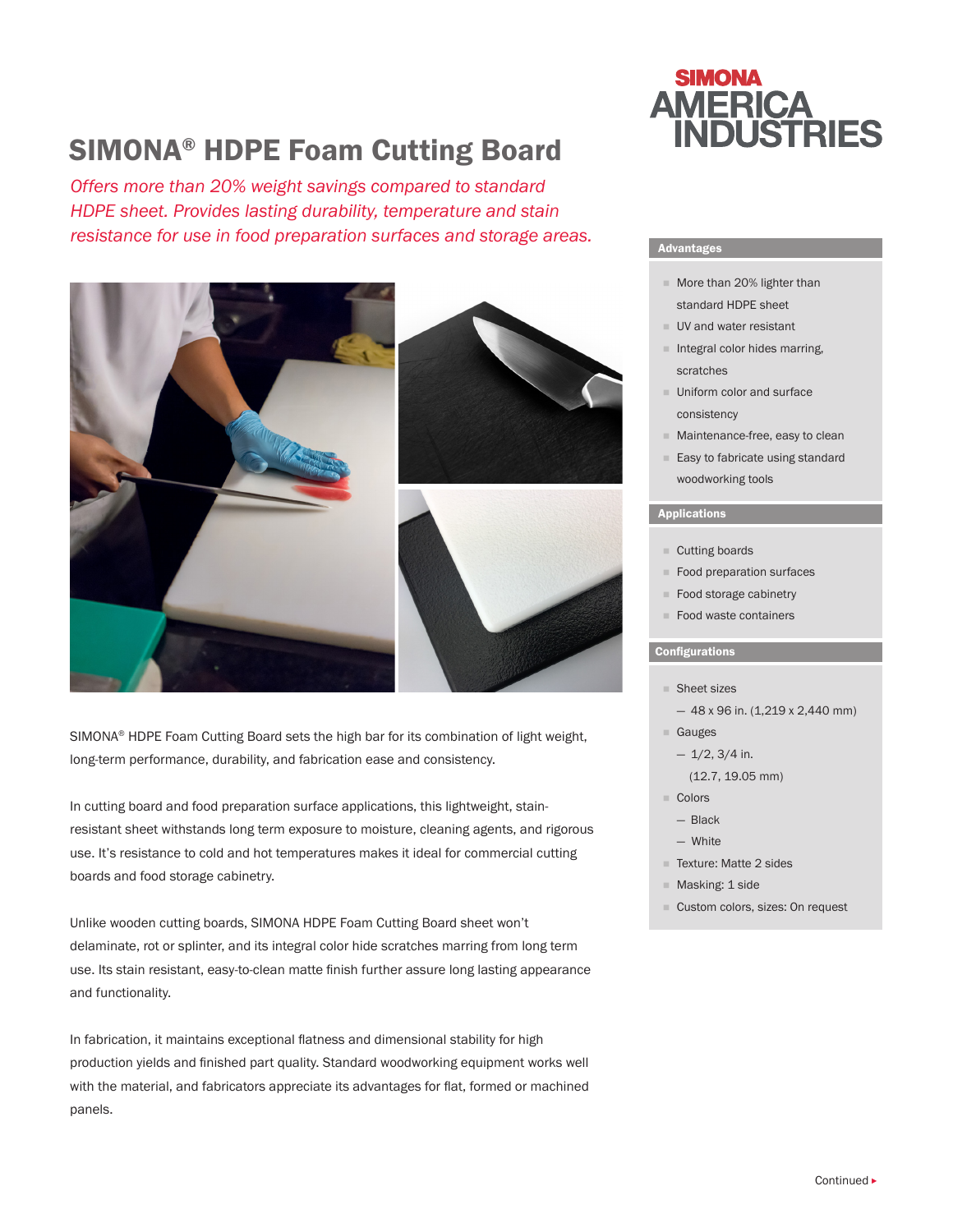# SIMONA® HDPE Foam Cutting Board

*Offers more than 20% weight savings compared to standard HDPE sheet. Provides lasting durability, temperature and stain resistance for use in food preparation surfaces and storage areas.*



SIMONA® HDPE Foam Cutting Board sets the high bar for its combination of light weight, long-term performance, durability, and fabrication ease and consistency.

In cutting board and food preparation surface applications, this lightweight, stainresistant sheet withstands long term exposure to moisture, cleaning agents, and rigorous use. It's resistance to cold and hot temperatures makes it ideal for commercial cutting boards and food storage cabinetry.

Unlike wooden cutting boards, SIMONA HDPE Foam Cutting Board sheet won't delaminate, rot or splinter, and its integral color hide scratches marring from long term use. Its stain resistant, easy-to-clean matte finish further assure long lasting appearance and functionality.

In fabrication, it maintains exceptional flatness and dimensional stability for high production yields and finished part quality. Standard woodworking equipment works well with the material, and fabricators appreciate its advantages for flat, formed or machined panels.



# Advantages

- More than 20% lighter than standard HDPE sheet
- **UV** and water resistant
- $\blacksquare$  Integral color hides marring, scratches
- **Uniform color and surface** consistency
- **Maintenance-free, easy to clean**
- Easy to fabricate using standard woodworking tools

# Applications

- Cutting boards
- Food preparation surfaces
- Food storage cabinetry
- Food waste containers

### Configurations

- Sheet sizes
	- $-48$  x 96 in. (1,219 x 2,440 mm)
- Gauges
	- $-1/2$ , 3/4 in.
	- (12.7, 19.05 mm)
- Colors
- Black
- White
- F Texture: Matte 2 sides
- **Masking: 1 side**
- Custom colors, sizes: On request